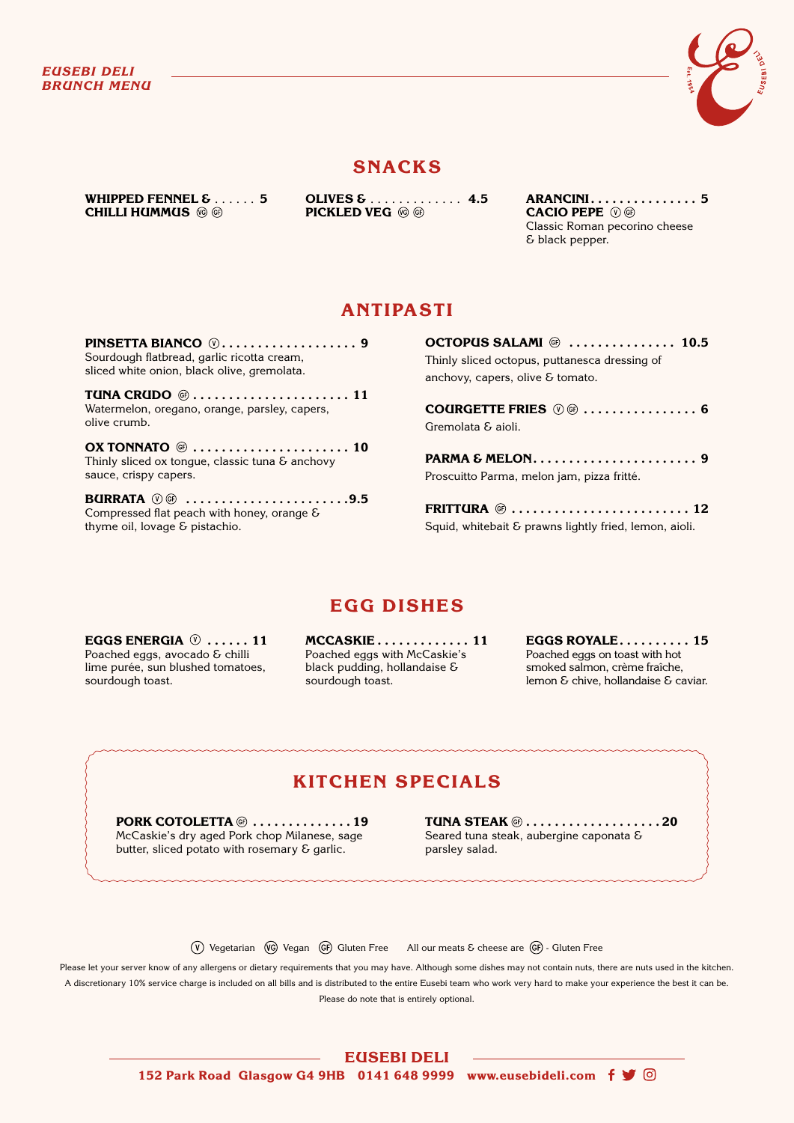

## **SNACKS**

**WHIPPED FENNEL**  $\epsilon$   $\ldots$   $\ldots$  5 **CHILLI HUMMUS** 

**OLIVES &** � � � � � � � � � � � � � **4.5 PICKLED VEG** 

**ARANCINI . . . . . . . . . . . . . . . 5 CACIO PEPE**  Classic Roman pecorino cheese & black pepper.

## **ANTIPASTI**

**PINSETTA BIANCO . . . . . . . . . . . . . . . . . . . 9** Sourdough flatbread, garlic ricotta cream, sliced white onion, black olive, gremolata.

**TUNA CRUDO @..................... 11** Watermelon, oregano, orange, parsley, capers, olive crumb.

**OX TONNATO**  $\circledcirc$  **......................... 10** Thinly sliced ox tongue, classic tuna  $\delta$  anchovy sauce, crispy capers.

**BURRATA**  $\mathbb{O} \oplus$  ...........................9.5 Compressed flat peach with honey, orange & thyme oil, lovage & pistachio.

**OCTOPUS SALAMI** <sup>@</sup> ............... 10.5 Thinly sliced octopus, puttanesca dressing of anchovy, capers, olive & tomato.

**COURGETTE FRIES**  $\circledcirc$  **................ 6** Gremolata & aioli.

**PARMA & MELON . . . . . . . . . . . . . . . . . . . . . . . 9** Proscuitto Parma, melon jam, pizza fritté.

**FRITTURA**  $\circledcirc$  .............................. 12 Squid, whitebait & prawns lightly fried, lemon, aioli.

# **EGG DISHES**

**EGGS ENERGIA**  $\heartsuit$  ...... 11 Poached eggs, avocado & chilli lime purée, sun blushed tomatoes, sourdough toast.

**MCCASKIE . . . . . . . . . . . . . 11** Poached eggs with McCaskie's black pudding, hollandaise & sourdough toast.

**EGGS ROYALE . . . . . . . . . . 15** Poached eggs on toast with hot smoked salmon, crème fraîche, lemon & chive, hollandaise & caviar.

# **KITCHEN SPECIALS**

**PORK COTOLETTA**  $\circledcirc$  **...............19** McCaskie's dry aged Pork chop Milanese, sage butter, sliced potato with rosemary & garlic.

**TUNA STEAK . . . . . . . . . . . . . . . . . . . 20**  Seared tuna steak, aubergine caponata & parsley salad.

 $\overline{(V)}$  Vegetarian  $\overline{(V)}$  Vegan  $\overline{(GF)}$  Gluten Free All our meats & cheese are  $\overline{(GF)}$  - Gluten Free

Please let your server know of any allergens or dietary requirements that you may have. Although some dishes may not contain nuts, there are nuts used in the kitchen. A discretionary 10% service charge is included on all bills and is distributed to the entire Eusebi team who work very hard to make your experience the best it can be. Please do note that is entirely optional.

**EUSEBI DELI** 

**152 Park Road Glasgow G4 9HB 0141 648 9999 www.eusebideli.com**